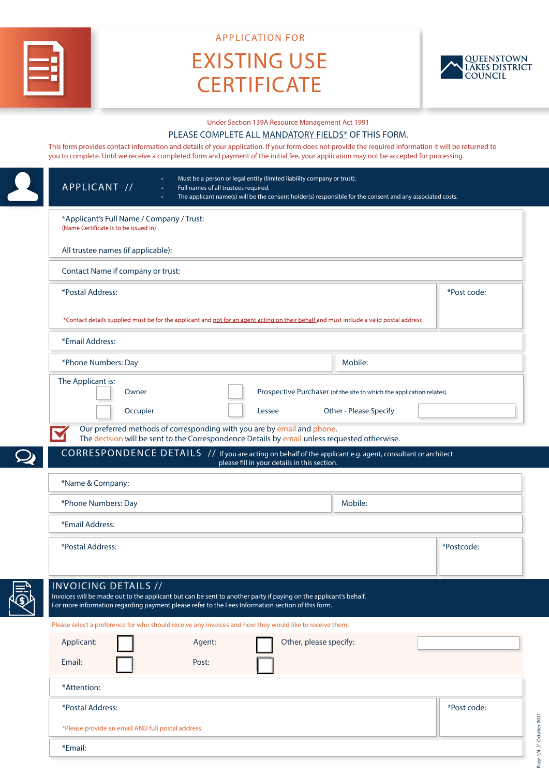

APPLICATION FOR

# EXISTING USE **CERTIFICATE**



Page 1/4 // October 2021

Page 1/4 // October 2021

Under Section 139A Resource Management Act 1991

#### PLEASE COMPLETE ALL MANDATORY FIELDS\* OF THIS FORM.

This form provides contact information and details of your application. If your form does not provide the required information it will be returned to you to complete. Until we receive a completed form and payment of the initial fee, your application may not be accepted for processing.

| APPLICANT //                                                                                                                                                                                                                                         | Must be a person or legal entity (limited liability company or trust).<br>Full names of all trustees required.<br>The applicant name(s) will be the consent holder(s) responsible for the consent and any associated costs. |  |  |
|------------------------------------------------------------------------------------------------------------------------------------------------------------------------------------------------------------------------------------------------------|-----------------------------------------------------------------------------------------------------------------------------------------------------------------------------------------------------------------------------|--|--|
| *Applicant's Full Name / Company / Trust:<br>(Name Certificate is to be issued in)                                                                                                                                                                   |                                                                                                                                                                                                                             |  |  |
| All trustee names (if applicable):                                                                                                                                                                                                                   |                                                                                                                                                                                                                             |  |  |
| Contact Name if company or trust:                                                                                                                                                                                                                    |                                                                                                                                                                                                                             |  |  |
| *Postal Address:                                                                                                                                                                                                                                     | *Post code:                                                                                                                                                                                                                 |  |  |
| *Contact details supplied must be for the applicant and not for an agent acting on their behalf and must include a valid postal address                                                                                                              |                                                                                                                                                                                                                             |  |  |
| *Email Address:                                                                                                                                                                                                                                      |                                                                                                                                                                                                                             |  |  |
| *Phone Numbers: Day                                                                                                                                                                                                                                  | Mobile:                                                                                                                                                                                                                     |  |  |
| The Applicant is:<br>Owner                                                                                                                                                                                                                           | Prospective Purchaser (of the site to which the application relates)                                                                                                                                                        |  |  |
| Occupier                                                                                                                                                                                                                                             | Other - Please Specify<br>Lessee                                                                                                                                                                                            |  |  |
| Our preferred methods of corresponding with you are by email and phone.                                                                                                                                                                              | The decision will be sent to the Correspondence Details by email unless requested otherwise.                                                                                                                                |  |  |
|                                                                                                                                                                                                                                                      | CORRESPONDENCE DETAILS 7/ If you are acting on behalf of the applicant e.g. agent, consultant or architect<br>please fill in your details in this section.                                                                  |  |  |
| *Name & Company:                                                                                                                                                                                                                                     |                                                                                                                                                                                                                             |  |  |
| *Phone Numbers: Day                                                                                                                                                                                                                                  | Mobile:                                                                                                                                                                                                                     |  |  |
| *Email Address:                                                                                                                                                                                                                                      |                                                                                                                                                                                                                             |  |  |
| *Postal Address:                                                                                                                                                                                                                                     | *Postcode:                                                                                                                                                                                                                  |  |  |
| <b>INVOICING DETAILS //</b><br>Invoices will be made out to the applicant but can be sent to another party if paying on the applicant's behalf.<br>For more information regarding payment please refer to the Fees Information section of this form. |                                                                                                                                                                                                                             |  |  |
| Please select a preference for who should receive any invoices and how they would like to receive them.                                                                                                                                              |                                                                                                                                                                                                                             |  |  |
| Applicant:<br>Agent:                                                                                                                                                                                                                                 |                                                                                                                                                                                                                             |  |  |
|                                                                                                                                                                                                                                                      | Other, please specify:                                                                                                                                                                                                      |  |  |
| Email:<br>Post:                                                                                                                                                                                                                                      |                                                                                                                                                                                                                             |  |  |
| *Attention:                                                                                                                                                                                                                                          |                                                                                                                                                                                                                             |  |  |
| *Postal Address:                                                                                                                                                                                                                                     | *Post code:                                                                                                                                                                                                                 |  |  |
| *Please provide an email AND full postal address.                                                                                                                                                                                                    |                                                                                                                                                                                                                             |  |  |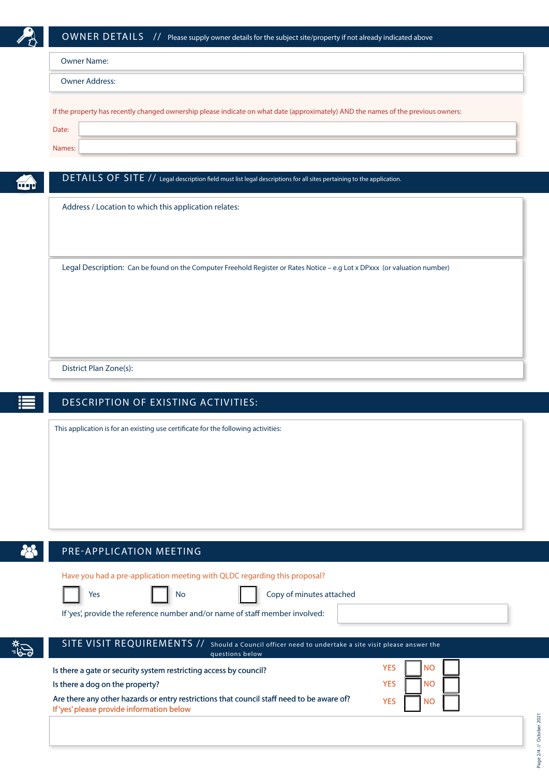

| Owner Address:                                                                                                                    |  |  |
|-----------------------------------------------------------------------------------------------------------------------------------|--|--|
|                                                                                                                                   |  |  |
| If the property has recently changed ownership please indicate on what date (approximately) AND the names of the previous owners: |  |  |
|                                                                                                                                   |  |  |
|                                                                                                                                   |  |  |
| Date:                                                                                                                             |  |  |
| Names:                                                                                                                            |  |  |

Address / Location to which this application relates:

Legal Description: Can be found on the Computer Freehold Register or Rates Notice – e.g Lot x DPxxx (or valuation number)

District Plan Zone(s):

## DESCRIPTION OF EXISTING ACTIVITIES:

This application is for an existing use certificate for the following activities:



یاً-

#### PRE-APPLICATION MEETING

Have you had a pre-application meeting with QLDC regarding this proposal?





If 'yes', provide the reference number and/or name of staff member involved:

Is there a gate or security system restricting access by council?

| SITE VISIT REQUIREMENTS // Should a Council officer need to undertake a site visit please answer the |
|------------------------------------------------------------------------------------------------------|
| questions below                                                                                      |
|                                                                                                      |

| Is there a dog on the property?                                                           | <b>YFS</b> |
|-------------------------------------------------------------------------------------------|------------|
| Are there any other hazards or entry restrictions that council staff need to be aware of? | <b>YFS</b> |
| If 'yes' please provide information below                                                 |            |

| <b>YES</b> | <b>NO</b> |  |
|------------|-----------|--|
| <b>YES</b> | <b>NO</b> |  |
| YES        | <b>NO</b> |  |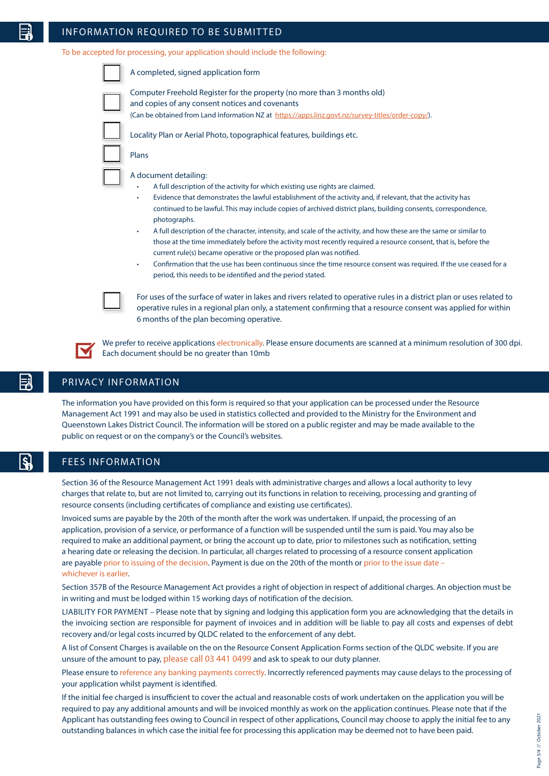#### INFORMATION REQUIRED TO BE SUBMITTED

To be accepted for processing, your application should include the following:

6 months of the plan becoming operative.



We prefer to receive applications electronically. Please ensure documents are scanned at a minimum resolution of 300 dpi. Each document should be no greater than 10mb

#### PRIVACY INFORMATION

The information you have provided on this form is required so that your application can be processed under the Resource Management Act 1991 and may also be used in statistics collected and provided to the Ministry for the Environment and Queenstown Lakes District Council. The information will be stored on a public register and may be made available to the public on request or on the company's or the Council's websites.

#### FEES INFORMATION

Section 36 of the Resource Management Act 1991 deals with administrative charges and allows a local authority to levy charges that relate to, but are not limited to, carrying out its functions in relation to receiving, processing and granting of resource consents (including certificates of compliance and existing use certificates).

Invoiced sums are payable by the 20th of the month after the work was undertaken. If unpaid, the processing of an application, provision of a service, or performance of a function will be suspended until the sum is paid. You may also be required to make an additional payment, or bring the account up to date, prior to milestones such as notification, setting a hearing date or releasing the decision. In particular, all charges related to processing of a resource consent application are payable prior to issuing of the decision. Payment is due on the 20th of the month or prior to the issue date – whichever is earlier.

Section 357B of the Resource Management Act provides a right of objection in respect of additional charges. An objection must be in writing and must be lodged within 15 working days of notification of the decision.

LIABILITY FOR PAYMENT – Please note that by signing and lodging this application form you are acknowledging that the details in the invoicing section are responsible for payment of invoices and in addition will be liable to pay all costs and expenses of debt recovery and/or legal costs incurred by QLDC related to the enforcement of any debt.

A list of Consent Charges is available on the on the Resource Consent Application Forms section of the QLDC website. If you are unsure of the amount to pay, please call 03 441 0499 and ask to speak to our duty planner.

Please ensure to reference any banking payments correctly. Incorrectly referenced payments may cause delays to the processing of your application whilst payment is identified.

If the initial fee charged is insufficient to cover the actual and reasonable costs of work undertaken on the application you will be required to pay any additional amounts and will be invoiced monthly as work on the application continues. Please note that if the Applicant has outstanding fees owing to Council in respect of other applications, Council may choose to apply the initial fee to any outstanding balances in which case the initial fee for processing this application may be deemed not to have been paid.

 $S_{\rm e}$